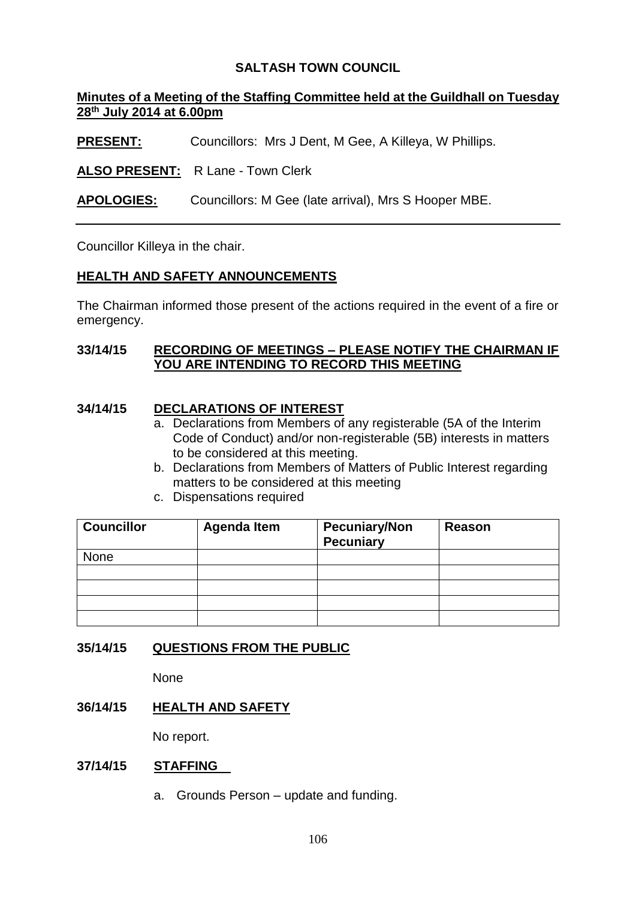# **SALTASH TOWN COUNCIL**

# **Minutes of a Meeting of the Staffing Committee held at the Guildhall on Tuesday 28th July 2014 at 6.00pm**

**PRESENT:** Councillors: Mrs J Dent, M Gee, A Killeya, W Phillips.

**ALSO PRESENT:** R Lane - Town Clerk

**APOLOGIES:** Councillors: M Gee (late arrival), Mrs S Hooper MBE.

Councillor Killeya in the chair.

# **HEALTH AND SAFETY ANNOUNCEMENTS**

The Chairman informed those present of the actions required in the event of a fire or emergency.

## **33/14/15 RECORDING OF MEETINGS – PLEASE NOTIFY THE CHAIRMAN IF YOU ARE INTENDING TO RECORD THIS MEETING**

#### **34/14/15 DECLARATIONS OF INTEREST**

- a. Declarations from Members of any registerable (5A of the Interim Code of Conduct) and/or non-registerable (5B) interests in matters to be considered at this meeting.
- b. Declarations from Members of Matters of Public Interest regarding matters to be considered at this meeting
- c. Dispensations required

| <b>Councillor</b> | <b>Agenda Item</b> | <b>Pecuniary/Non</b><br><b>Pecuniary</b> | Reason |
|-------------------|--------------------|------------------------------------------|--------|
| None              |                    |                                          |        |
|                   |                    |                                          |        |
|                   |                    |                                          |        |
|                   |                    |                                          |        |
|                   |                    |                                          |        |

#### **35/14/15 QUESTIONS FROM THE PUBLIC**

None

#### **36/14/15 HEALTH AND SAFETY**

No report.

#### **37/14/15 STAFFING**

a. Grounds Person – update and funding.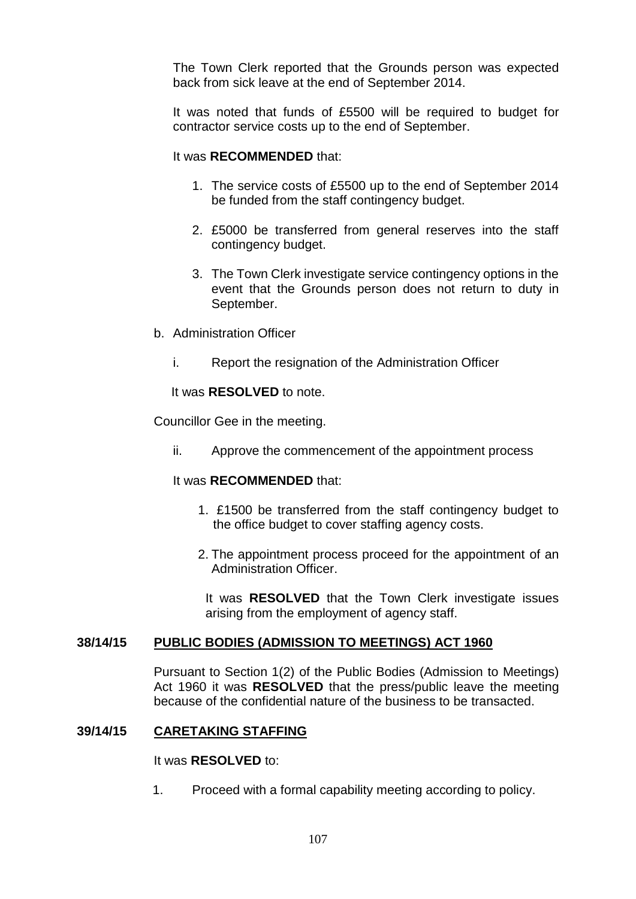The Town Clerk reported that the Grounds person was expected back from sick leave at the end of September 2014.

It was noted that funds of £5500 will be required to budget for contractor service costs up to the end of September.

#### It was **RECOMMENDED** that:

- 1. The service costs of £5500 up to the end of September 2014 be funded from the staff contingency budget.
- 2. £5000 be transferred from general reserves into the staff contingency budget.
- 3. The Town Clerk investigate service contingency options in the event that the Grounds person does not return to duty in September.
- b. Administration Officer
	- i. Report the resignation of the Administration Officer

It was **RESOLVED** to note.

Councillor Gee in the meeting.

ii. Approve the commencement of the appointment process

#### It was **RECOMMENDED** that:

- 1. £1500 be transferred from the staff contingency budget to the office budget to cover staffing agency costs.
- 2. The appointment process proceed for the appointment of an Administration Officer.

It was **RESOLVED** that the Town Clerk investigate issues arising from the employment of agency staff.

#### **38/14/15 PUBLIC BODIES (ADMISSION TO MEETINGS) ACT 1960**

Pursuant to Section 1(2) of the Public Bodies (Admission to Meetings) Act 1960 it was **RESOLVED** that the press/public leave the meeting because of the confidential nature of the business to be transacted.

#### **39/14/15 CARETAKING STAFFING**

#### It was **RESOLVED** to:

1. Proceed with a formal capability meeting according to policy.